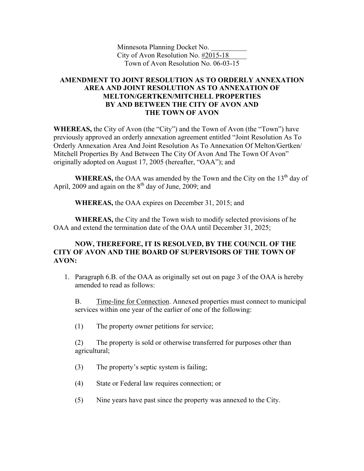Minnesota Planning Docket No. \_\_\_\_\_\_\_\_\_\_ City of Avon Resolution No. #2015-18\_\_\_\_\_ Town of Avon Resolution No. 06-03-15

## **AMENDMENT TO JOINT RESOLUTION AS TO ORDERLY ANNEXATION AREA AND JOINT RESOLUTION AS TO ANNEXATION OF MELTON/GERTKEN/MITCHELL PROPERTIES BY AND BETWEEN THE CITY OF AVON AND THE TOWN OF AVON**

**WHEREAS,** the City of Avon (the "City") and the Town of Avon (the "Town") have previously approved an orderly annexation agreement entitled "Joint Resolution As To Orderly Annexation Area And Joint Resolution As To Annexation Of Melton/Gertken/ Mitchell Properties By And Between The City Of Avon And The Town Of Avon" originally adopted on August 17, 2005 (hereafter, "OAA"); and

**WHEREAS,** the OAA was amended by the Town and the City on the  $13<sup>th</sup>$  day of April, 2009 and again on the  $8<sup>th</sup>$  day of June, 2009; and

**WHEREAS,** the OAA expires on December 31, 2015; and

**WHEREAS,** the City and the Town wish to modify selected provisions of he OAA and extend the termination date of the OAA until December 31, 2025;

## **NOW, THEREFORE, IT IS RESOLVED, BY THE COUNCIL OF THE CITY OF AVON AND THE BOARD OF SUPERVISORS OF THE TOWN OF AVON:**

1. Paragraph 6.B. of the OAA as originally set out on page 3 of the OAA is hereby amended to read as follows:

B. Time-line for Connection. Annexed properties must connect to municipal services within one year of the earlier of one of the following:

(1) The property owner petitions for service;

(2) The property is sold or otherwise transferred for purposes other than agricultural;

- (3) The property's septic system is failing;
- (4) State or Federal law requires connection; or
- (5) Nine years have past since the property was annexed to the City.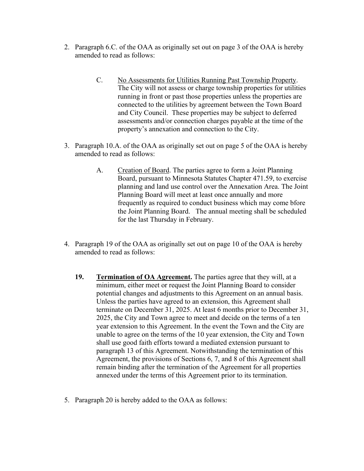- 2. Paragraph 6.C. of the OAA as originally set out on page 3 of the OAA is hereby amended to read as follows:
	- C. No Assessments for Utilities Running Past Township Property. The City will not assess or charge township properties for utilities running in front or past those properties unless the properties are connected to the utilities by agreement between the Town Board and City Council. These properties may be subject to deferred assessments and/or connection charges payable at the time of the property's annexation and connection to the City.
- 3. Paragraph 10.A. of the OAA as originally set out on page 5 of the OAA is hereby amended to read as follows:
	- A. Creation of Board. The parties agree to form a Joint Planning Board, pursuant to Minnesota Statutes Chapter 471.59, to exercise planning and land use control over the Annexation Area. The Joint Planning Board will meet at least once annually and more frequently as required to conduct business which may come bfore the Joint Planning Board. The annual meeting shall be scheduled for the last Thursday in February.
- 4. Paragraph 19 of the OAA as originally set out on page 10 of the OAA is hereby amended to read as follows:
	- **19. Termination of OA Agreement.** The parties agree that they will, at a minimum, either meet or request the Joint Planning Board to consider potential changes and adjustments to this Agreement on an annual basis. Unless the parties have agreed to an extension, this Agreement shall terminate on December 31, 2025. At least 6 months prior to December 31, 2025, the City and Town agree to meet and decide on the terms of a ten year extension to this Agreement. In the event the Town and the City are unable to agree on the terms of the 10 year extension, the City and Town shall use good faith efforts toward a mediated extension pursuant to paragraph 13 of this Agreement. Notwithstanding the termination of this Agreement, the provisions of Sections 6, 7, and 8 of this Agreement shall remain binding after the termination of the Agreement for all properties annexed under the terms of this Agreement prior to its termination.
- 5. Paragraph 20 is hereby added to the OAA as follows: